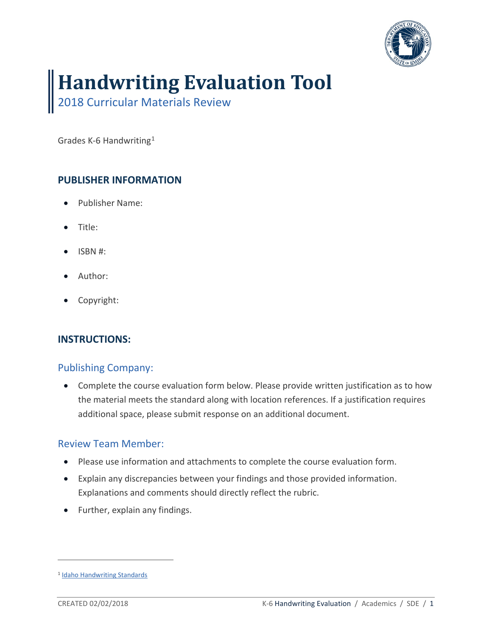

# **Handwriting Evaluation Tool**

2018 Curricular Materials Review

Grades K-6 Handwriting[1](#page-0-0)

## **PUBLISHER INFORMATION**

- Publisher Name:
- Title:
- ISBN #:
- Author:
- Copyright:

#### **INSTRUCTIONS:**

#### Publishing Company:

• Complete the course evaluation form below. Please provide written justification as to how the material meets the standard along with location references. If a justification requires additional space, please submit response on an additional document.

#### Review Team Member:

- Please use information and attachments to complete the course evaluation form.
- Explain any discrepancies between your findings and those provided information. Explanations and comments should directly reflect the rubric.
- Further, explain any findings.

 $\overline{a}$ 

<span id="page-0-0"></span><sup>&</sup>lt;sup>1</sup> [Idaho Handwriting Standards](http://www.sde.idaho.gov/academic/shared/ela-literacy/booklets/ELA-Literacy-Standards.pdf)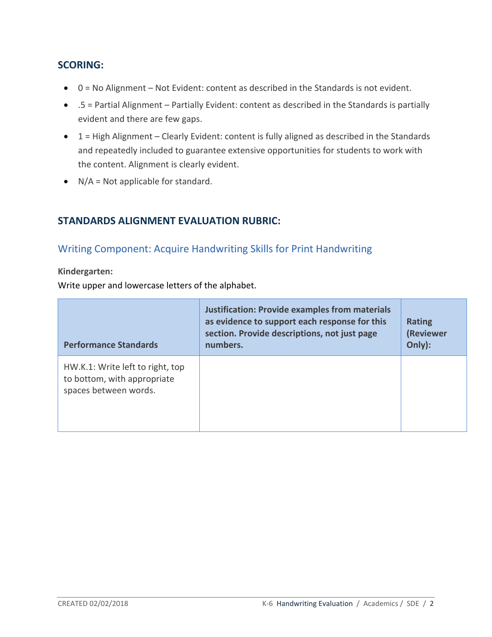#### **SCORING:**

- 0 = No Alignment Not Evident: content as described in the Standards is not evident.
- .5 = Partial Alignment Partially Evident: content as described in the Standards is partially evident and there are few gaps.
- 1 = High Alignment Clearly Evident: content is fully aligned as described in the Standards and repeatedly included to guarantee extensive opportunities for students to work with the content. Alignment is clearly evident.
- $\bullet$  N/A = Not applicable for standard.

## **STANDARDS ALIGNMENT EVALUATION RUBRIC:**

## Writing Component: Acquire Handwriting Skills for Print Handwriting

**Kindergarten:** 

Write upper and lowercase letters of the alphabet.

| <b>Performance Standards</b>                                                             | <b>Justification: Provide examples from materials</b><br>as evidence to support each response for this<br>section. Provide descriptions, not just page<br>numbers. | <b>Rating</b><br>(Reviewer<br>Only): |
|------------------------------------------------------------------------------------------|--------------------------------------------------------------------------------------------------------------------------------------------------------------------|--------------------------------------|
| HW.K.1: Write left to right, top<br>to bottom, with appropriate<br>spaces between words. |                                                                                                                                                                    |                                      |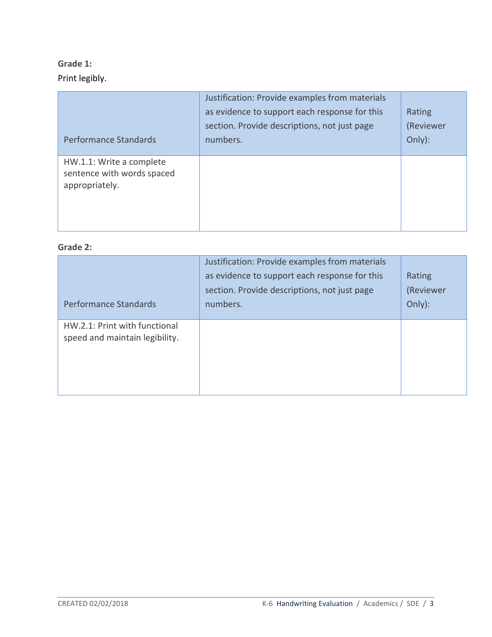# **Grade 1:**  Print legibly.

| Performance Standards                                                    | Justification: Provide examples from materials<br>as evidence to support each response for this<br>section. Provide descriptions, not just page<br>numbers. | Rating<br>(Reviewer<br>Only): |
|--------------------------------------------------------------------------|-------------------------------------------------------------------------------------------------------------------------------------------------------------|-------------------------------|
| HW.1.1: Write a complete<br>sentence with words spaced<br>appropriately. |                                                                                                                                                             |                               |

## **Grade 2:**

| <b>Performance Standards</b>                                    | Justification: Provide examples from materials<br>as evidence to support each response for this<br>section. Provide descriptions, not just page<br>numbers. | Rating<br>(Reviewer<br>Only): |
|-----------------------------------------------------------------|-------------------------------------------------------------------------------------------------------------------------------------------------------------|-------------------------------|
| HW.2.1: Print with functional<br>speed and maintain legibility. |                                                                                                                                                             |                               |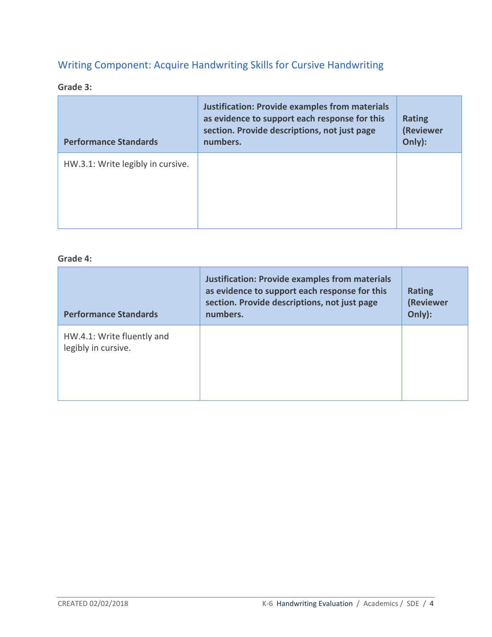# Writing Component: Acquire Handwriting Skills for Cursive Handwriting

#### **Grade 3:**

| <b>Performance Standards</b>      | <b>Justification: Provide examples from materials</b><br>as evidence to support each response for this<br>section. Provide descriptions, not just page<br>numbers. | <b>Rating</b><br>(Reviewer<br>Only): |
|-----------------------------------|--------------------------------------------------------------------------------------------------------------------------------------------------------------------|--------------------------------------|
| HW.3.1: Write legibly in cursive. |                                                                                                                                                                    |                                      |

#### **Grade 4:**

| <b>Performance Standards</b>                      | <b>Justification: Provide examples from materials</b><br>as evidence to support each response for this<br>section. Provide descriptions, not just page<br>numbers. | <b>Rating</b><br>(Reviewer<br>Only): |
|---------------------------------------------------|--------------------------------------------------------------------------------------------------------------------------------------------------------------------|--------------------------------------|
| HW.4.1: Write fluently and<br>legibly in cursive. |                                                                                                                                                                    |                                      |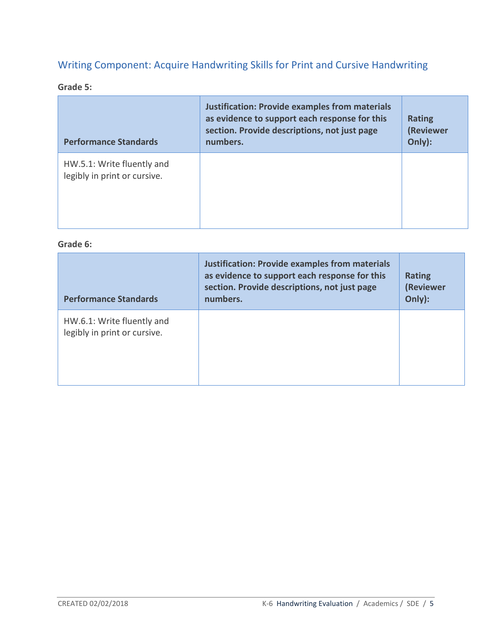# Writing Component: Acquire Handwriting Skills for Print and Cursive Handwriting

#### **Grade 5:**

| <b>Performance Standards</b>                               | <b>Justification: Provide examples from materials</b><br>as evidence to support each response for this<br>section. Provide descriptions, not just page<br>numbers. | <b>Rating</b><br><b>(Reviewer</b><br>Only): |
|------------------------------------------------------------|--------------------------------------------------------------------------------------------------------------------------------------------------------------------|---------------------------------------------|
| HW.5.1: Write fluently and<br>legibly in print or cursive. |                                                                                                                                                                    |                                             |

#### **Grade 6:**

| <b>Performance Standards</b>                               | <b>Justification: Provide examples from materials</b><br>as evidence to support each response for this<br>section. Provide descriptions, not just page<br>numbers. | <b>Rating</b><br>(Reviewer<br>Only): |
|------------------------------------------------------------|--------------------------------------------------------------------------------------------------------------------------------------------------------------------|--------------------------------------|
| HW.6.1: Write fluently and<br>legibly in print or cursive. |                                                                                                                                                                    |                                      |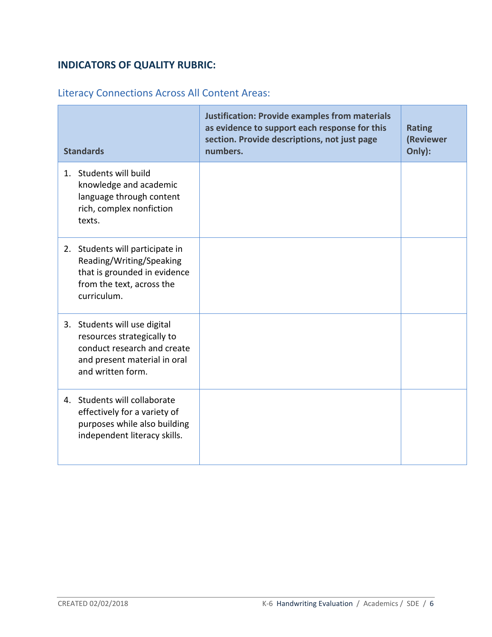## **INDICATORS OF QUALITY RUBRIC:**

# Literacy Connections Across All Content Areas:

| <b>Standards</b>                                                                                                                               | <b>Justification: Provide examples from materials</b><br>as evidence to support each response for this<br>section. Provide descriptions, not just page<br>numbers. | <b>Rating</b><br>(Reviewer<br>Only): |
|------------------------------------------------------------------------------------------------------------------------------------------------|--------------------------------------------------------------------------------------------------------------------------------------------------------------------|--------------------------------------|
| 1. Students will build<br>knowledge and academic<br>language through content<br>rich, complex nonfiction<br>texts.                             |                                                                                                                                                                    |                                      |
| 2. Students will participate in<br>Reading/Writing/Speaking<br>that is grounded in evidence<br>from the text, across the<br>curriculum.        |                                                                                                                                                                    |                                      |
| 3. Students will use digital<br>resources strategically to<br>conduct research and create<br>and present material in oral<br>and written form. |                                                                                                                                                                    |                                      |
| 4. Students will collaborate<br>effectively for a variety of<br>purposes while also building<br>independent literacy skills.                   |                                                                                                                                                                    |                                      |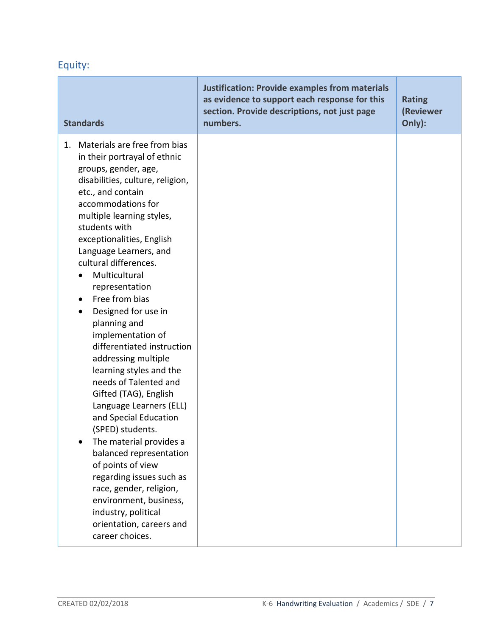# Equity:

| <b>Standards</b>                                                                                                                                                                                                                                                                                                                                                                                                                                                                                                                                                                                                                                                                                                                                                                                                                                                                                         | <b>Justification: Provide examples from materials</b><br>as evidence to support each response for this<br>section. Provide descriptions, not just page<br>numbers. | <b>Rating</b><br>(Reviewer<br>Only): |
|----------------------------------------------------------------------------------------------------------------------------------------------------------------------------------------------------------------------------------------------------------------------------------------------------------------------------------------------------------------------------------------------------------------------------------------------------------------------------------------------------------------------------------------------------------------------------------------------------------------------------------------------------------------------------------------------------------------------------------------------------------------------------------------------------------------------------------------------------------------------------------------------------------|--------------------------------------------------------------------------------------------------------------------------------------------------------------------|--------------------------------------|
| 1. Materials are free from bias<br>in their portrayal of ethnic<br>groups, gender, age,<br>disabilities, culture, religion,<br>etc., and contain<br>accommodations for<br>multiple learning styles,<br>students with<br>exceptionalities, English<br>Language Learners, and<br>cultural differences.<br>Multicultural<br>representation<br>Free from bias<br>$\bullet$<br>Designed for use in<br>$\bullet$<br>planning and<br>implementation of<br>differentiated instruction<br>addressing multiple<br>learning styles and the<br>needs of Talented and<br>Gifted (TAG), English<br>Language Learners (ELL)<br>and Special Education<br>(SPED) students.<br>The material provides a<br>$\bullet$<br>balanced representation<br>of points of view<br>regarding issues such as<br>race, gender, religion,<br>environment, business,<br>industry, political<br>orientation, careers and<br>career choices. |                                                                                                                                                                    |                                      |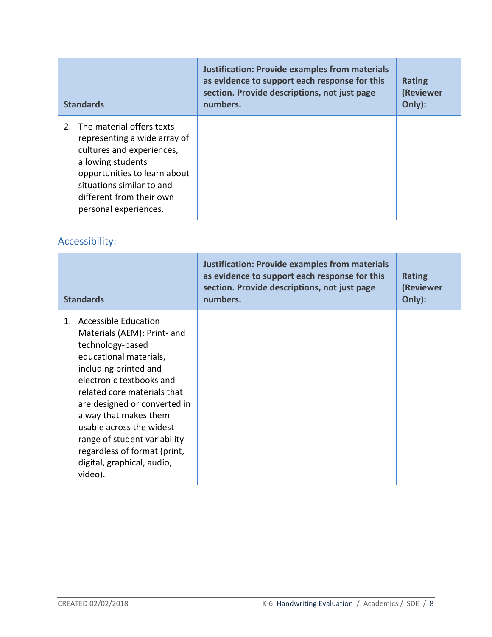| <b>Standards</b>                                                                                                                                                                                                                 | <b>Justification: Provide examples from materials</b><br>as evidence to support each response for this<br>section. Provide descriptions, not just page<br>numbers. | <b>Rating</b><br>(Reviewer<br>Only): |
|----------------------------------------------------------------------------------------------------------------------------------------------------------------------------------------------------------------------------------|--------------------------------------------------------------------------------------------------------------------------------------------------------------------|--------------------------------------|
| 2. The material offers texts<br>representing a wide array of<br>cultures and experiences,<br>allowing students<br>opportunities to learn about<br>situations similar to and<br>different from their own<br>personal experiences. |                                                                                                                                                                    |                                      |

# Accessibility:

| <b>Standards</b>                                                                                                                                                                                                                                                                                                                                                                                 | <b>Justification: Provide examples from materials</b><br>as evidence to support each response for this<br>section. Provide descriptions, not just page<br>numbers. | <b>Rating</b><br>(Reviewer<br>Only): |
|--------------------------------------------------------------------------------------------------------------------------------------------------------------------------------------------------------------------------------------------------------------------------------------------------------------------------------------------------------------------------------------------------|--------------------------------------------------------------------------------------------------------------------------------------------------------------------|--------------------------------------|
| <b>Accessible Education</b><br>1.<br>Materials (AEM): Print- and<br>technology-based<br>educational materials,<br>including printed and<br>electronic textbooks and<br>related core materials that<br>are designed or converted in<br>a way that makes them<br>usable across the widest<br>range of student variability<br>regardless of format (print,<br>digital, graphical, audio,<br>video). |                                                                                                                                                                    |                                      |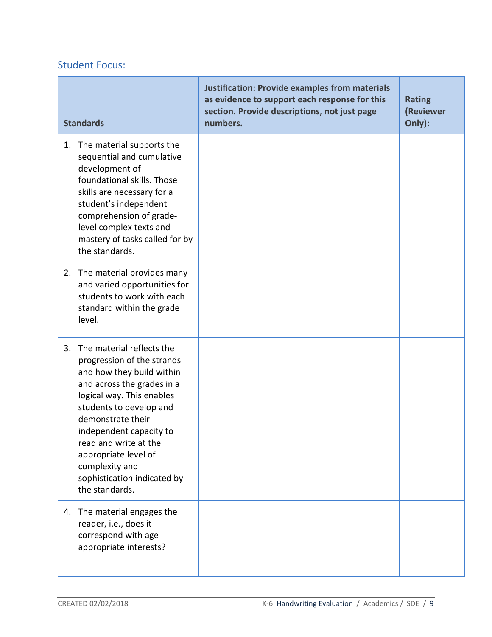# Student Focus:

| <b>Standards</b>                                                                                                                                                                                                                                                                                                                                     | <b>Justification: Provide examples from materials</b><br>as evidence to support each response for this<br>section. Provide descriptions, not just page<br>numbers. | <b>Rating</b><br>(Reviewer<br>Only): |
|------------------------------------------------------------------------------------------------------------------------------------------------------------------------------------------------------------------------------------------------------------------------------------------------------------------------------------------------------|--------------------------------------------------------------------------------------------------------------------------------------------------------------------|--------------------------------------|
| The material supports the<br>1.<br>sequential and cumulative<br>development of<br>foundational skills. Those<br>skills are necessary for a<br>student's independent<br>comprehension of grade-<br>level complex texts and<br>mastery of tasks called for by<br>the standards.                                                                        |                                                                                                                                                                    |                                      |
| 2. The material provides many<br>and varied opportunities for<br>students to work with each<br>standard within the grade<br>level.                                                                                                                                                                                                                   |                                                                                                                                                                    |                                      |
| The material reflects the<br>3.<br>progression of the strands<br>and how they build within<br>and across the grades in a<br>logical way. This enables<br>students to develop and<br>demonstrate their<br>independent capacity to<br>read and write at the<br>appropriate level of<br>complexity and<br>sophistication indicated by<br>the standards. |                                                                                                                                                                    |                                      |
| 4. The material engages the<br>reader, i.e., does it<br>correspond with age<br>appropriate interests?                                                                                                                                                                                                                                                |                                                                                                                                                                    |                                      |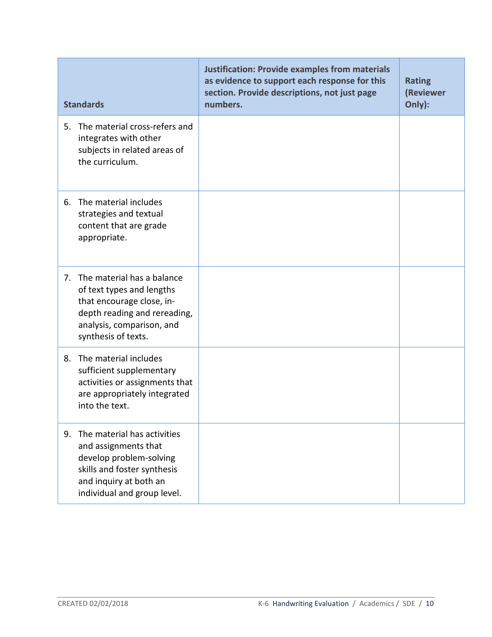| <b>Standards</b>                                                                                                                                                             | <b>Justification: Provide examples from materials</b><br>as evidence to support each response for this<br>section. Provide descriptions, not just page<br>numbers. | <b>Rating</b><br>(Reviewer<br>Only): |
|------------------------------------------------------------------------------------------------------------------------------------------------------------------------------|--------------------------------------------------------------------------------------------------------------------------------------------------------------------|--------------------------------------|
| The material cross-refers and<br>5.<br>integrates with other<br>subjects in related areas of<br>the curriculum.                                                              |                                                                                                                                                                    |                                      |
| 6. The material includes<br>strategies and textual<br>content that are grade<br>appropriate.                                                                                 |                                                                                                                                                                    |                                      |
| 7. The material has a balance<br>of text types and lengths<br>that encourage close, in-<br>depth reading and rereading,<br>analysis, comparison, and<br>synthesis of texts.  |                                                                                                                                                                    |                                      |
| The material includes<br>8.<br>sufficient supplementary<br>activities or assignments that<br>are appropriately integrated<br>into the text.                                  |                                                                                                                                                                    |                                      |
| The material has activities<br>9.<br>and assignments that<br>develop problem-solving<br>skills and foster synthesis<br>and inquiry at both an<br>individual and group level. |                                                                                                                                                                    |                                      |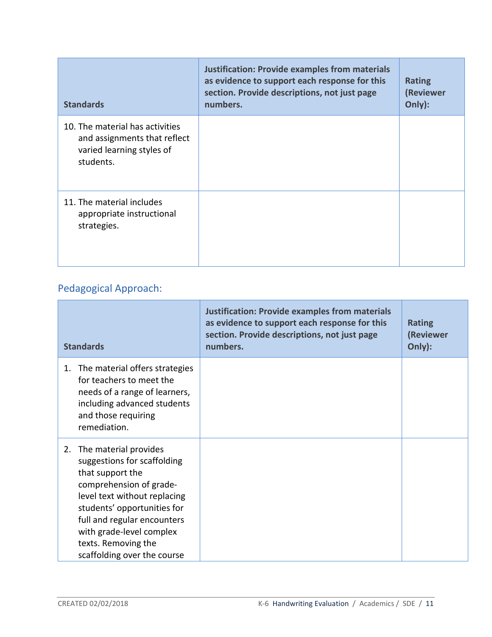| <b>Standards</b>                                                                                          | <b>Justification: Provide examples from materials</b><br>as evidence to support each response for this<br>section. Provide descriptions, not just page<br>numbers. | <b>Rating</b><br>(Reviewer<br>Only): |
|-----------------------------------------------------------------------------------------------------------|--------------------------------------------------------------------------------------------------------------------------------------------------------------------|--------------------------------------|
| 10. The material has activities<br>and assignments that reflect<br>varied learning styles of<br>students. |                                                                                                                                                                    |                                      |
| 11. The material includes<br>appropriate instructional<br>strategies.                                     |                                                                                                                                                                    |                                      |

# Pedagogical Approach:

| <b>Standards</b>                                                                                                                                                                                                                                                                          | <b>Justification: Provide examples from materials</b><br>as evidence to support each response for this<br>section. Provide descriptions, not just page<br>numbers. | <b>Rating</b><br>(Reviewer<br>Only): |
|-------------------------------------------------------------------------------------------------------------------------------------------------------------------------------------------------------------------------------------------------------------------------------------------|--------------------------------------------------------------------------------------------------------------------------------------------------------------------|--------------------------------------|
| The material offers strategies<br>1.<br>for teachers to meet the<br>needs of a range of learners,<br>including advanced students<br>and those requiring<br>remediation.                                                                                                                   |                                                                                                                                                                    |                                      |
| The material provides<br>2.<br>suggestions for scaffolding<br>that support the<br>comprehension of grade-<br>level text without replacing<br>students' opportunities for<br>full and regular encounters<br>with grade-level complex<br>texts. Removing the<br>scaffolding over the course |                                                                                                                                                                    |                                      |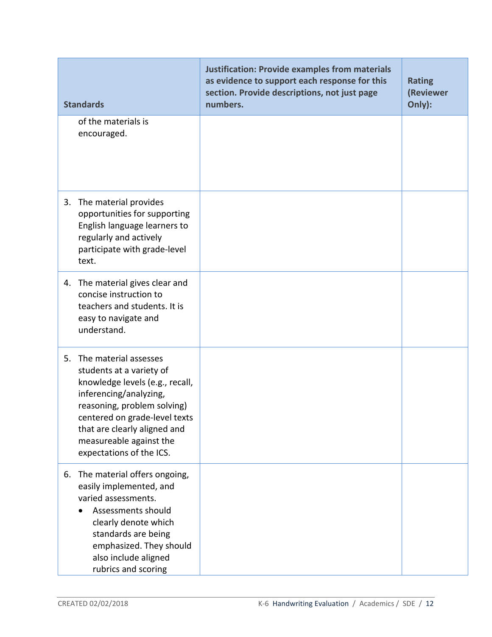| <b>Standards</b>                                                                                                                                                                                                                                                         | <b>Justification: Provide examples from materials</b><br>as evidence to support each response for this<br>section. Provide descriptions, not just page<br>numbers. | <b>Rating</b><br>(Reviewer<br>Only): |
|--------------------------------------------------------------------------------------------------------------------------------------------------------------------------------------------------------------------------------------------------------------------------|--------------------------------------------------------------------------------------------------------------------------------------------------------------------|--------------------------------------|
| of the materials is<br>encouraged.                                                                                                                                                                                                                                       |                                                                                                                                                                    |                                      |
| 3. The material provides<br>opportunities for supporting<br>English language learners to<br>regularly and actively<br>participate with grade-level<br>text.                                                                                                              |                                                                                                                                                                    |                                      |
| 4. The material gives clear and<br>concise instruction to<br>teachers and students. It is<br>easy to navigate and<br>understand.                                                                                                                                         |                                                                                                                                                                    |                                      |
| 5. The material assesses<br>students at a variety of<br>knowledge levels (e.g., recall,<br>inferencing/analyzing,<br>reasoning, problem solving)<br>centered on grade-level texts<br>that are clearly aligned and<br>measureable against the<br>expectations of the ICS. |                                                                                                                                                                    |                                      |
| The material offers ongoing,<br>6.<br>easily implemented, and<br>varied assessments.<br>Assessments should<br>clearly denote which<br>standards are being<br>emphasized. They should<br>also include aligned<br>rubrics and scoring                                      |                                                                                                                                                                    |                                      |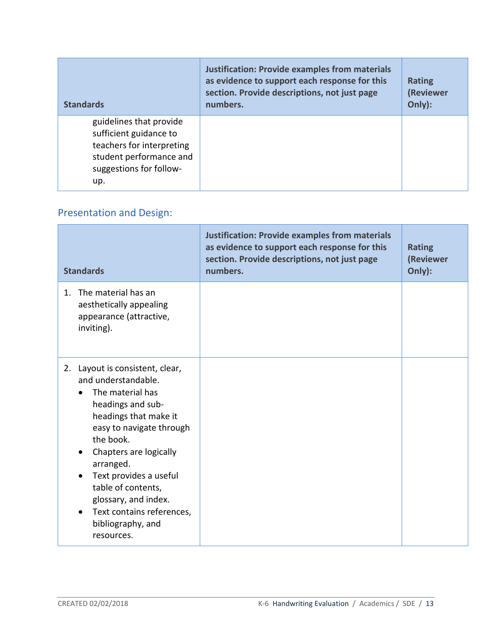| <b>Standards</b>                                                                                                                            | <b>Justification: Provide examples from materials</b><br>as evidence to support each response for this<br>section. Provide descriptions, not just page<br>numbers. | <b>Rating</b><br>(Reviewer<br>Only): |
|---------------------------------------------------------------------------------------------------------------------------------------------|--------------------------------------------------------------------------------------------------------------------------------------------------------------------|--------------------------------------|
| guidelines that provide<br>sufficient guidance to<br>teachers for interpreting<br>student performance and<br>suggestions for follow-<br>up. |                                                                                                                                                                    |                                      |

# Presentation and Design:

| <b>Standards</b>                                                                                                                                                                                                                                                                                                                                 | <b>Justification: Provide examples from materials</b><br>as evidence to support each response for this<br>section. Provide descriptions, not just page<br>numbers. | <b>Rating</b><br>(Reviewer<br>Only): |
|--------------------------------------------------------------------------------------------------------------------------------------------------------------------------------------------------------------------------------------------------------------------------------------------------------------------------------------------------|--------------------------------------------------------------------------------------------------------------------------------------------------------------------|--------------------------------------|
| The material has an<br>$1_{-}$<br>aesthetically appealing<br>appearance (attractive,<br>inviting).                                                                                                                                                                                                                                               |                                                                                                                                                                    |                                      |
| 2. Layout is consistent, clear,<br>and understandable.<br>The material has<br>headings and sub-<br>headings that make it<br>easy to navigate through<br>the book.<br>Chapters are logically<br>arranged.<br>Text provides a useful<br>table of contents,<br>glossary, and index.<br>Text contains references,<br>bibliography, and<br>resources. |                                                                                                                                                                    |                                      |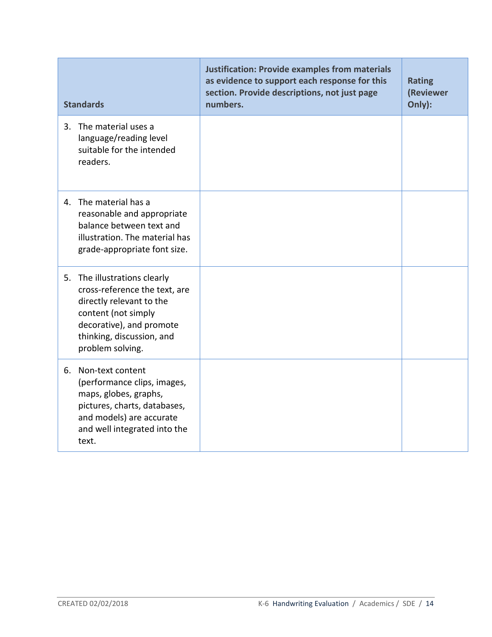| <b>Standards</b>                                                                                                                                                                              | <b>Justification: Provide examples from materials</b><br>as evidence to support each response for this<br>section. Provide descriptions, not just page<br>numbers. | <b>Rating</b><br>(Reviewer<br>Only): |
|-----------------------------------------------------------------------------------------------------------------------------------------------------------------------------------------------|--------------------------------------------------------------------------------------------------------------------------------------------------------------------|--------------------------------------|
| 3. The material uses a<br>language/reading level<br>suitable for the intended<br>readers.                                                                                                     |                                                                                                                                                                    |                                      |
| 4. The material has a<br>reasonable and appropriate<br>balance between text and<br>illustration. The material has<br>grade-appropriate font size.                                             |                                                                                                                                                                    |                                      |
| 5. The illustrations clearly<br>cross-reference the text, are<br>directly relevant to the<br>content (not simply<br>decorative), and promote<br>thinking, discussion, and<br>problem solving. |                                                                                                                                                                    |                                      |
| Non-text content<br>6.<br>(performance clips, images,<br>maps, globes, graphs,<br>pictures, charts, databases,<br>and models) are accurate<br>and well integrated into the<br>text.           |                                                                                                                                                                    |                                      |